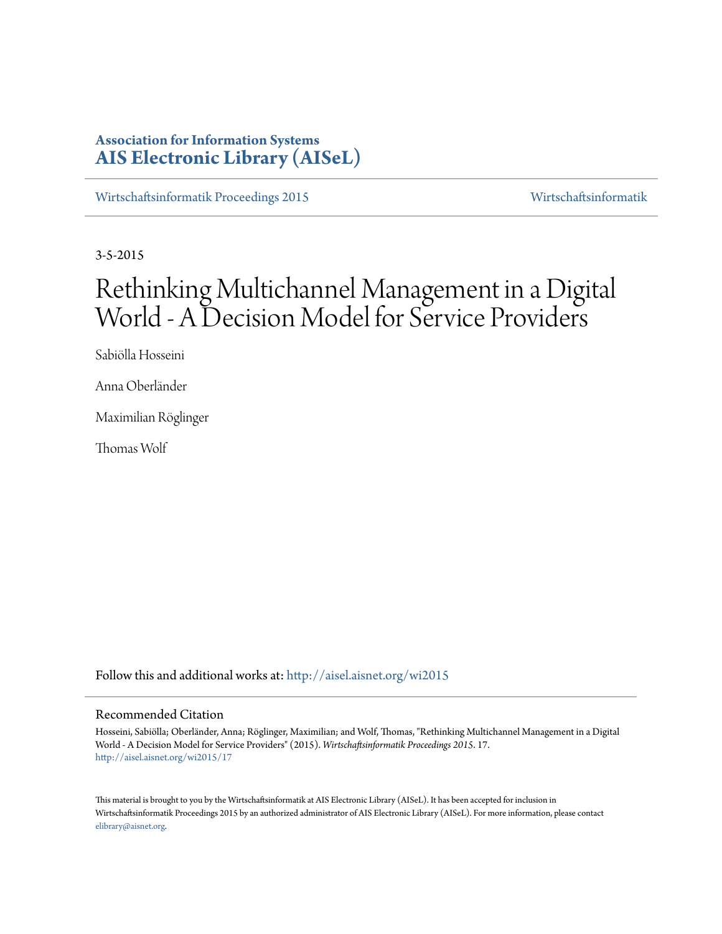# **Association for Information Systems [AIS Electronic Library \(AISeL\)](http://aisel.aisnet.org?utm_source=aisel.aisnet.org%2Fwi2015%2F17&utm_medium=PDF&utm_campaign=PDFCoverPages)**

[Wirtschaftsinformatik Proceedings 2015](http://aisel.aisnet.org/wi2015?utm_source=aisel.aisnet.org%2Fwi2015%2F17&utm_medium=PDF&utm_campaign=PDFCoverPages) [Wirtschaftsinformatik](http://aisel.aisnet.org/wi?utm_source=aisel.aisnet.org%2Fwi2015%2F17&utm_medium=PDF&utm_campaign=PDFCoverPages)

3-5-2015

# Rethinking Multichannel Management in a Digital World - A Decision Model for Service Providers

Sabiölla Hosseini

Anna Oberländer

Maximilian Röglinger

Thomas Wolf

Follow this and additional works at: [http://aisel.aisnet.org/wi2015](http://aisel.aisnet.org/wi2015?utm_source=aisel.aisnet.org%2Fwi2015%2F17&utm_medium=PDF&utm_campaign=PDFCoverPages)

### Recommended Citation

Hosseini, Sabiölla; Oberländer, Anna; Röglinger, Maximilian; and Wolf, Thomas, "Rethinking Multichannel Management in a Digital World - A Decision Model for Service Providers" (2015). *Wirtschaftsinformatik Proceedings 2015*. 17. [http://aisel.aisnet.org/wi2015/17](http://aisel.aisnet.org/wi2015/17?utm_source=aisel.aisnet.org%2Fwi2015%2F17&utm_medium=PDF&utm_campaign=PDFCoverPages)

This material is brought to you by the Wirtschaftsinformatik at AIS Electronic Library (AISeL). It has been accepted for inclusion in Wirtschaftsinformatik Proceedings 2015 by an authorized administrator of AIS Electronic Library (AISeL). For more information, please contact [elibrary@aisnet.org.](mailto:elibrary@aisnet.org%3E)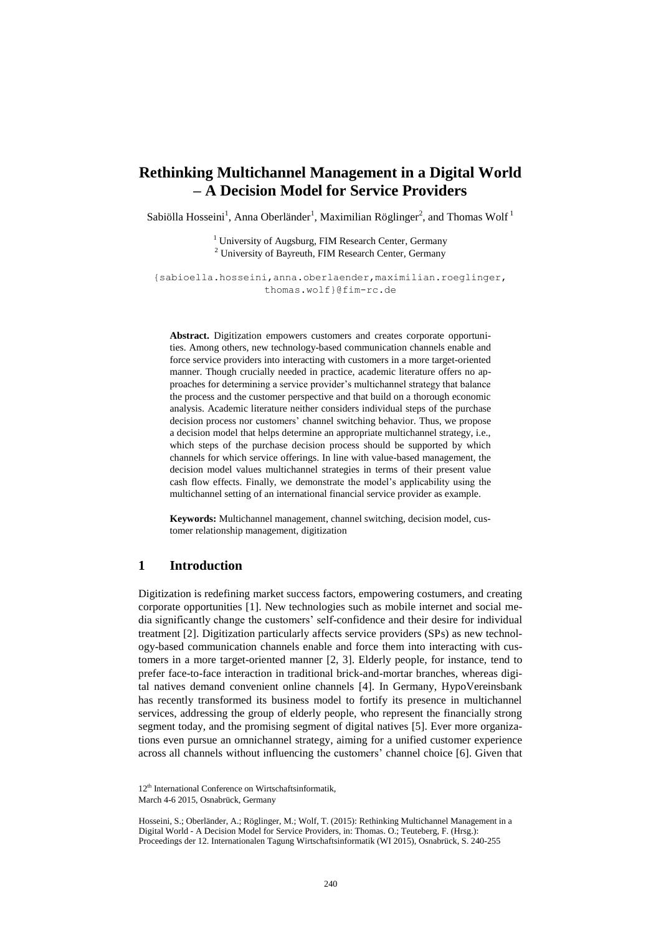# **Rethinking Multichannel Management in a Digital World – A Decision Model for Service Providers**

Sabiölla Hosseini<sup>1</sup>, Anna Oberländer<sup>1</sup>, Maximilian Röglinger<sup>2</sup>, and Thomas Wolf<sup>1</sup>

<sup>1</sup> University of Augsburg, FIM Research Center, Germany <sup>2</sup> University of Bayreuth, FIM Research Center, Germany

{sabioella.hosseini,anna.oberlaender,maximilian.roeglinger, thomas.wolf}@fim-rc.de

**Abstract.** Digitization empowers customers and creates corporate opportunities. Among others, new technology-based communication channels enable and force service providers into interacting with customers in a more target-oriented manner. Though crucially needed in practice, academic literature offers no approaches for determining a service provider's multichannel strategy that balance the process and the customer perspective and that build on a thorough economic analysis. Academic literature neither considers individual steps of the purchase decision process nor customers' channel switching behavior. Thus, we propose a decision model that helps determine an appropriate multichannel strategy, i.e., which steps of the purchase decision process should be supported by which channels for which service offerings. In line with value-based management, the decision model values multichannel strategies in terms of their present value cash flow effects. Finally, we demonstrate the model's applicability using the multichannel setting of an international financial service provider as example.

**Keywords:** Multichannel management, channel switching, decision model, customer relationship management, digitization

# **1 Introduction**

Digitization is redefining market success factors, empowering costumers, and creating corporate opportunities [1]. New technologies such as mobile internet and social media significantly change the customers' self-confidence and their desire for individual treatment [2]. Digitization particularly affects service providers (SPs) as new technology-based communication channels enable and force them into interacting with customers in a more target-oriented manner [2, 3]. Elderly people, for instance, tend to prefer face-to-face interaction in traditional brick-and-mortar branches, whereas digital natives demand convenient online channels [4]. In Germany, HypoVereinsbank has recently transformed its business model to fortify its presence in multichannel services, addressing the group of elderly people, who represent the financially strong segment today, and the promising segment of digital natives [5]. Ever more organizations even pursue an omnichannel strategy, aiming for a unified customer experience across all channels without influencing the customers' channel choice [6]. Given that

Hosseini, S.; Oberländer, A.; Röglinger, M.; Wolf, T. (2015): Rethinking Multichannel Management in a Digital World - A Decision Model for Service Providers, in: Thomas. O.; Teuteberg, F. (Hrsg.): Proceedings der 12. Internationalen Tagung Wirtschaftsinformatik (WI 2015), Osnabrück, S. 240-255

<sup>12&</sup>lt;sup>th</sup> International Conference on Wirtschaftsinformatik, March 4-6 2015, Osnabrück, Germany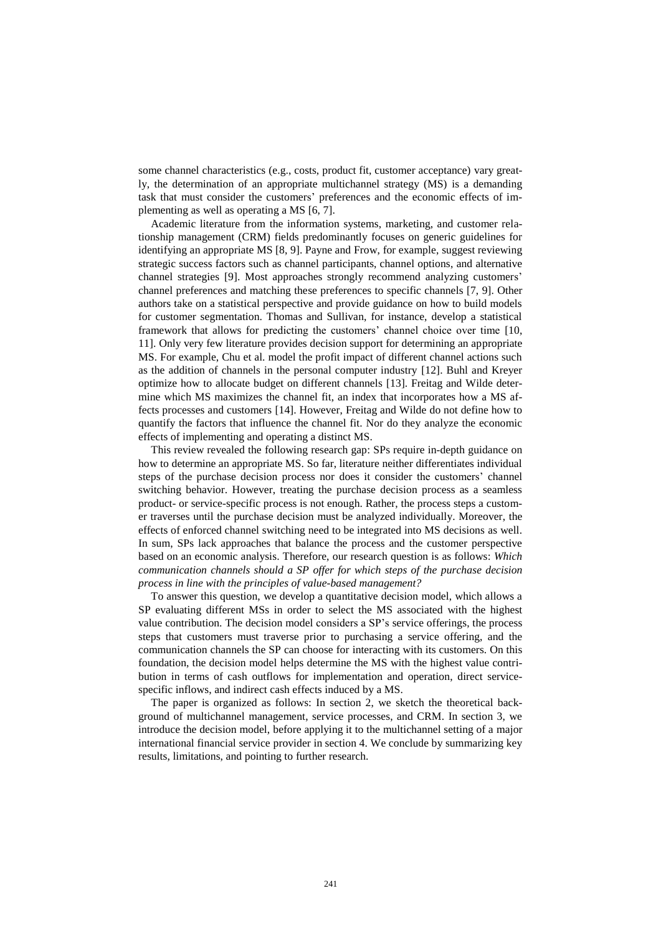some channel characteristics (e.g., costs, product fit, customer acceptance) vary greatly, the determination of an appropriate multichannel strategy (MS) is a demanding task that must consider the customers' preferences and the economic effects of implementing as well as operating a MS [6, 7].

Academic literature from the information systems, marketing, and customer relationship management (CRM) fields predominantly focuses on generic guidelines for identifying an appropriate MS [8, 9]. Payne and Frow, for example, suggest reviewing strategic success factors such as channel participants, channel options, and alternative channel strategies [9]. Most approaches strongly recommend analyzing customers' channel preferences and matching these preferences to specific channels [7, 9]. Other authors take on a statistical perspective and provide guidance on how to build models for customer segmentation. Thomas and Sullivan, for instance, develop a statistical framework that allows for predicting the customers' channel choice over time [10, 11]. Only very few literature provides decision support for determining an appropriate MS. For example, Chu et al. model the profit impact of different channel actions such as the addition of channels in the personal computer industry [12]. Buhl and Kreyer optimize how to allocate budget on different channels [13]. Freitag and Wilde determine which MS maximizes the channel fit, an index that incorporates how a MS affects processes and customers [14]. However, Freitag and Wilde do not define how to quantify the factors that influence the channel fit. Nor do they analyze the economic effects of implementing and operating a distinct MS.

This review revealed the following research gap: SPs require in-depth guidance on how to determine an appropriate MS. So far, literature neither differentiates individual steps of the purchase decision process nor does it consider the customers' channel switching behavior. However, treating the purchase decision process as a seamless product- or service-specific process is not enough. Rather, the process steps a customer traverses until the purchase decision must be analyzed individually. Moreover, the effects of enforced channel switching need to be integrated into MS decisions as well. In sum, SPs lack approaches that balance the process and the customer perspective based on an economic analysis. Therefore, our research question is as follows: *Which communication channels should a SP offer for which steps of the purchase decision process in line with the principles of value-based management?*

To answer this question, we develop a quantitative decision model, which allows a SP evaluating different MSs in order to select the MS associated with the highest value contribution. The decision model considers a SP's service offerings, the process steps that customers must traverse prior to purchasing a service offering, and the communication channels the SP can choose for interacting with its customers. On this foundation, the decision model helps determine the MS with the highest value contribution in terms of cash outflows for implementation and operation, direct servicespecific inflows, and indirect cash effects induced by a MS.

The paper is organized as follows: In section 2, we sketch the theoretical background of multichannel management, service processes, and CRM. In section 3, we introduce the decision model, before applying it to the multichannel setting of a major international financial service provider in section 4. We conclude by summarizing key results, limitations, and pointing to further research.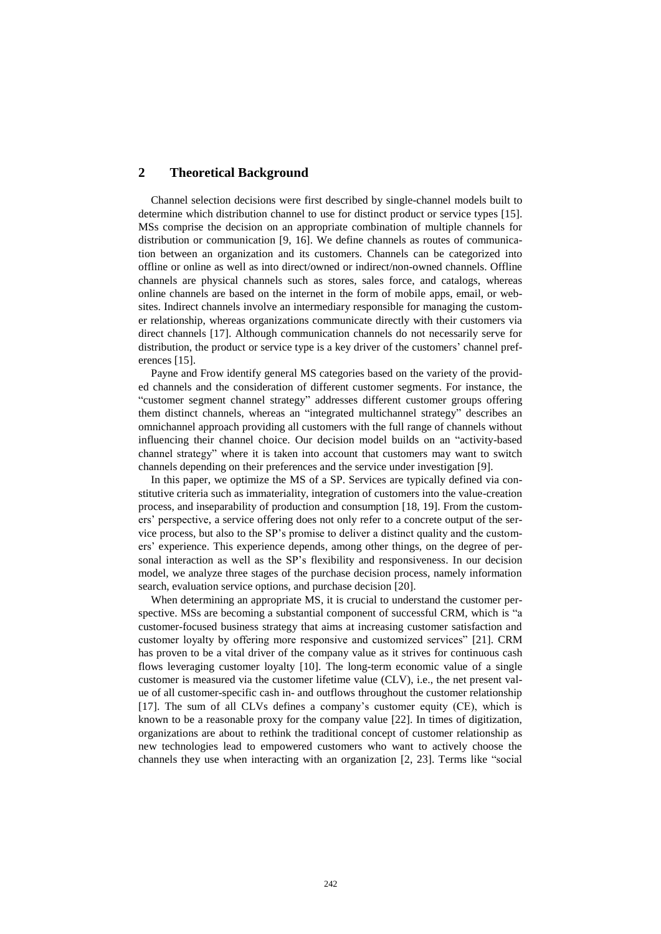# **2 Theoretical Background**

Channel selection decisions were first described by single-channel models built to determine which distribution channel to use for distinct product or service types [15]. MSs comprise the decision on an appropriate combination of multiple channels for distribution or communication [9, 16]. We define channels as routes of communication between an organization and its customers. Channels can be categorized into offline or online as well as into direct/owned or indirect/non-owned channels. Offline channels are physical channels such as stores, sales force, and catalogs, whereas online channels are based on the internet in the form of mobile apps, email, or websites. Indirect channels involve an intermediary responsible for managing the customer relationship, whereas organizations communicate directly with their customers via direct channels [17]. Although communication channels do not necessarily serve for distribution, the product or service type is a key driver of the customers' channel preferences [15].

Payne and Frow identify general MS categories based on the variety of the provided channels and the consideration of different customer segments. For instance, the "customer segment channel strategy" addresses different customer groups offering them distinct channels, whereas an "integrated multichannel strategy" describes an omnichannel approach providing all customers with the full range of channels without influencing their channel choice. Our decision model builds on an "activity-based channel strategy" where it is taken into account that customers may want to switch channels depending on their preferences and the service under investigation [9].

In this paper, we optimize the MS of a SP. Services are typically defined via constitutive criteria such as immateriality, integration of customers into the value-creation process, and inseparability of production and consumption [18, 19]. From the customers' perspective, a service offering does not only refer to a concrete output of the service process, but also to the SP's promise to deliver a distinct quality and the customers' experience. This experience depends, among other things, on the degree of personal interaction as well as the SP's flexibility and responsiveness. In our decision model, we analyze three stages of the purchase decision process, namely information search, evaluation service options, and purchase decision [20].

When determining an appropriate MS, it is crucial to understand the customer perspective. MSs are becoming a substantial component of successful CRM, which is "a customer-focused business strategy that aims at increasing customer satisfaction and customer loyalty by offering more responsive and customized services" [21]. CRM has proven to be a vital driver of the company value as it strives for continuous cash flows leveraging customer loyalty [10]. The long-term economic value of a single customer is measured via the customer lifetime value (CLV), i.e., the net present value of all customer-specific cash in- and outflows throughout the customer relationship [17]. The sum of all CLVs defines a company's customer equity (CE), which is known to be a reasonable proxy for the company value [22]. In times of digitization, organizations are about to rethink the traditional concept of customer relationship as new technologies lead to empowered customers who want to actively choose the channels they use when interacting with an organization [2, 23]. Terms like "social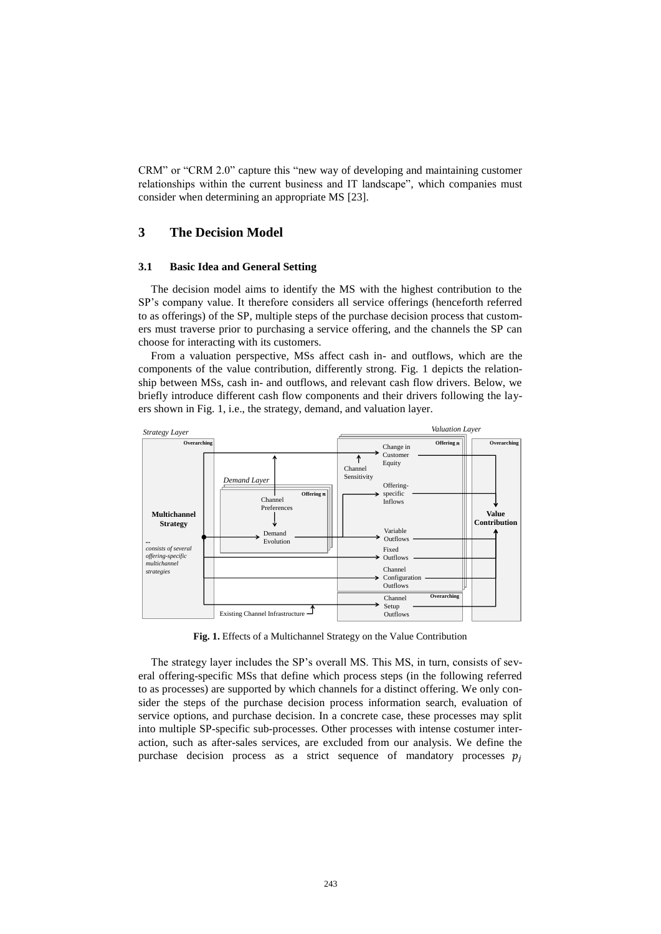CRM" or "CRM 2.0" capture this "new way of developing and maintaining customer relationships within the current business and IT landscape", which companies must consider when determining an appropriate MS [23].

# **3 The Decision Model**

#### **3.1 Basic Idea and General Setting**

The decision model aims to identify the MS with the highest contribution to the SP's company value. It therefore considers all service offerings (henceforth referred to as offerings) of the SP, multiple steps of the purchase decision process that customers must traverse prior to purchasing a service offering, and the channels the SP can choose for interacting with its customers.

From a valuation perspective, MSs affect cash in- and outflows, which are the components of the value contribution, differently strong. Fig. 1 depicts the relationship between MSs, cash in- and outflows, and relevant cash flow drivers. Below, we briefly introduce different cash flow components and their drivers following the layers shown in Fig. 1, i.e., the strategy, demand, and valuation layer.



**Fig. 1.** Effects of a Multichannel Strategy on the Value Contribution

The strategy layer includes the SP's overall MS. This MS, in turn, consists of several offering-specific MSs that define which process steps (in the following referred to as processes) are supported by which channels for a distinct offering. We only consider the steps of the purchase decision process information search, evaluation of service options, and purchase decision. In a concrete case, these processes may split into multiple SP-specific sub-processes. Other processes with intense costumer interaction, such as after-sales services, are excluded from our analysis. We define the purchase decision process as a strict sequence of mandatory processes  $p_i$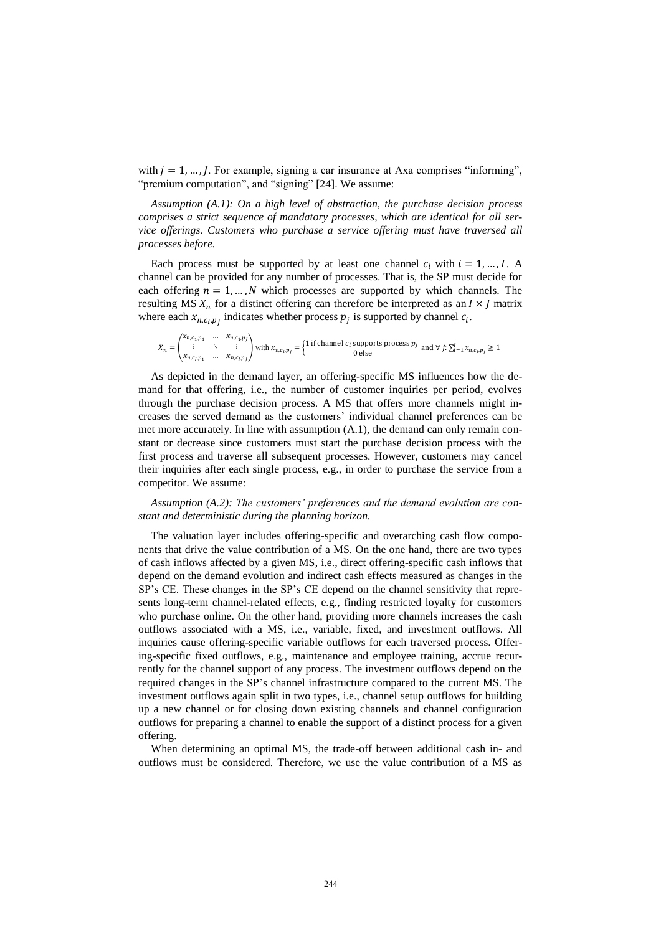with  $j = 1, ..., J$ . For example, signing a car insurance at Axa comprises "informing", "premium computation", and "signing" [24]. We assume:

*Assumption (A.1): On a high level of abstraction, the purchase decision process comprises a strict sequence of mandatory processes, which are identical for all service offerings. Customers who purchase a service offering must have traversed all processes before.*

Each process must be supported by at least one channel  $c_i$  with  $i = 1, ..., I$ . A channel can be provided for any number of processes. That is, the SP must decide for each offering  $n = 1, ..., N$  which processes are supported by which channels. The resulting MS  $X_n$  for a distinct offering can therefore be interpreted as an  $I \times J$  matrix where each  $x_{n,c_i,p_j}$  indicates whether process  $p_j$  is supported by channel  $c_i$ .

$$
X_n = \begin{pmatrix} x_{n,c_1,p_1} & \dots & x_{n,c_1,p_1} \\ \vdots & \ddots & \vdots \\ x_{n,c_i,p_1} & \dots & x_{n,c_i,p_j} \end{pmatrix}
$$
 with  $x_{n,c_i,p_j} = \begin{cases} 1 \text{ if channel } c_i \text{ supports process } p_j \\ 0 \text{ else} \end{cases}$  and  $\forall j: \sum_{i=1}^l x_{n,c_i,p_j} \ge 1$ 

As depicted in the demand layer, an offering-specific MS influences how the demand for that offering, i.e., the number of customer inquiries per period, evolves through the purchase decision process. A MS that offers more channels might increases the served demand as the customers' individual channel preferences can be met more accurately. In line with assumption (A.1), the demand can only remain constant or decrease since customers must start the purchase decision process with the first process and traverse all subsequent processes. However, customers may cancel their inquiries after each single process, e.g., in order to purchase the service from a competitor. We assume:

*Assumption (A.2): The customers' preferences and the demand evolution are constant and deterministic during the planning horizon.*

The valuation layer includes offering-specific and overarching cash flow components that drive the value contribution of a MS. On the one hand, there are two types of cash inflows affected by a given MS, i.e., direct offering-specific cash inflows that depend on the demand evolution and indirect cash effects measured as changes in the SP's CE. These changes in the SP's CE depend on the channel sensitivity that represents long-term channel-related effects, e.g., finding restricted loyalty for customers who purchase online. On the other hand, providing more channels increases the cash outflows associated with a MS, i.e., variable, fixed, and investment outflows. All inquiries cause offering-specific variable outflows for each traversed process. Offering-specific fixed outflows, e.g., maintenance and employee training, accrue recurrently for the channel support of any process. The investment outflows depend on the required changes in the SP's channel infrastructure compared to the current MS. The investment outflows again split in two types, i.e., channel setup outflows for building up a new channel or for closing down existing channels and channel configuration outflows for preparing a channel to enable the support of a distinct process for a given offering.

When determining an optimal MS, the trade-off between additional cash in- and outflows must be considered. Therefore, we use the value contribution of a MS as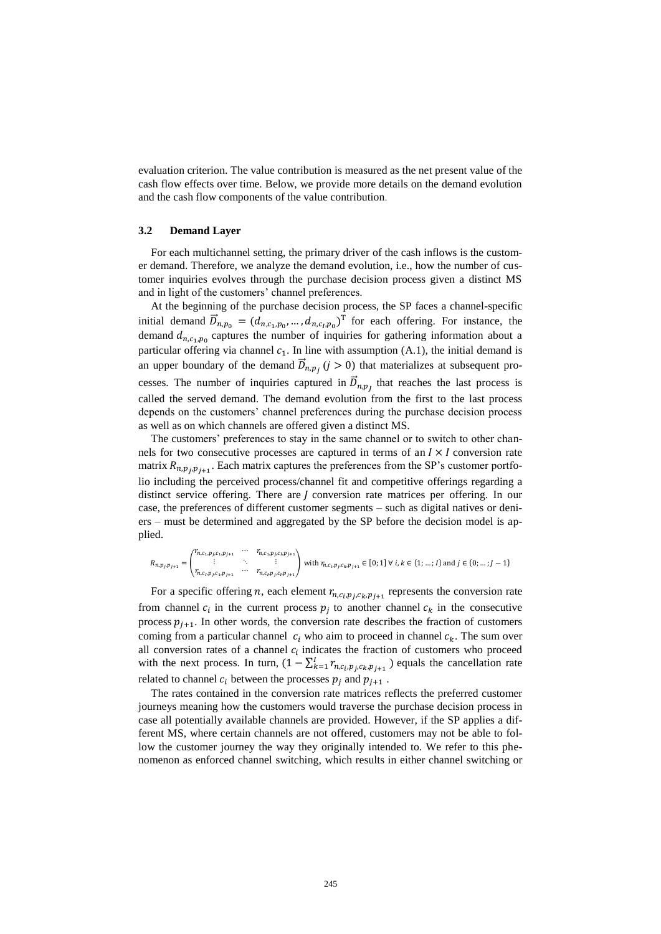evaluation criterion. The value contribution is measured as the net present value of the cash flow effects over time. Below, we provide more details on the demand evolution and the cash flow components of the value contribution.

#### **3.2 Demand Layer**

For each multichannel setting, the primary driver of the cash inflows is the customer demand. Therefore, we analyze the demand evolution, i.e., how the number of customer inquiries evolves through the purchase decision process given a distinct MS and in light of the customers' channel preferences.

At the beginning of the purchase decision process, the SP faces a channel-specific initial demand  $\vec{D}_{n,p_0} = (d_{n,c_1,p_0},...,d_{n,c_l,p_0})^T$  for each offering. For instance, the demand  $d_{n,c_1,p_0}$  captures the number of inquiries for gathering information about a particular offering via channel  $c_1$ . In line with assumption (A.1), the initial demand is an upper boundary of the demand  $\vec{D}_{n,p_j}$   $(j > 0)$  that materializes at subsequent processes. The number of inquiries captured in  $\vec{D}_{n,p}$  that reaches the last process is called the served demand. The demand evolution from the first to the last process depends on the customers' channel preferences during the purchase decision process as well as on which channels are offered given a distinct MS.

The customers' preferences to stay in the same channel or to switch to other channels for two consecutive processes are captured in terms of an  $I \times I$  conversion rate matrix  $R_{n,p}$ ,  $p_{j+1}$ . Each matrix captures the preferences from the SP's customer portfolio including the perceived process/channel fit and competitive offerings regarding a distinct service offering. There are  *conversion rate matrices per offering. In our* case, the preferences of different customer segments – such as digital natives or deniers – must be determined and aggregated by the SP before the decision model is applied.

$$
R_{n,p_j,p_{j+1}} = \begin{pmatrix} r_{n,c_1,p_{j},c_1,p_{j+1}} & \cdots & r_{n,c_1,p_{j},c_1,p_{j+1}} \\ \vdots & \ddots & \vdots \\ r_{n,c_i,p_{j},c_1,p_{j+1}} & \cdots & r_{n,c_i,p_{j},c_i,p_{j+1}} \end{pmatrix} \text{ with } r_{n,c_i,p_{j},c_k,p_{j+1}} \in [0;1] \,\forall \, i,k \in \{1;\dots;l\} \text{ and } j \in \{0;\dots;J-1\}
$$

For a specific offering *n*, each element  $r_{n,c_i,p_j,c_k,p_{j+1}}$  represents the conversion rate from channel  $c_i$  in the current process  $p_j$  to another channel  $c_k$  in the consecutive process  $p_{j+1}$ . In other words, the conversion rate describes the fraction of customers coming from a particular channel  $c_i$  who aim to proceed in channel  $c_k$ . The sum over all conversion rates of a channel  $c_i$  indicates the fraction of customers who proceed with the next process. In turn,  $(1 - \sum_{k=1}^{I} r_{n,c_i,p_j,c_k,p_{j+1}})$  equals the cancellation rate related to channel  $c_i$  between the processes  $p_j$  and  $p_{j+1}$ .

The rates contained in the conversion rate matrices reflects the preferred customer journeys meaning how the customers would traverse the purchase decision process in case all potentially available channels are provided. However, if the SP applies a different MS, where certain channels are not offered, customers may not be able to follow the customer journey the way they originally intended to. We refer to this phenomenon as enforced channel switching, which results in either channel switching or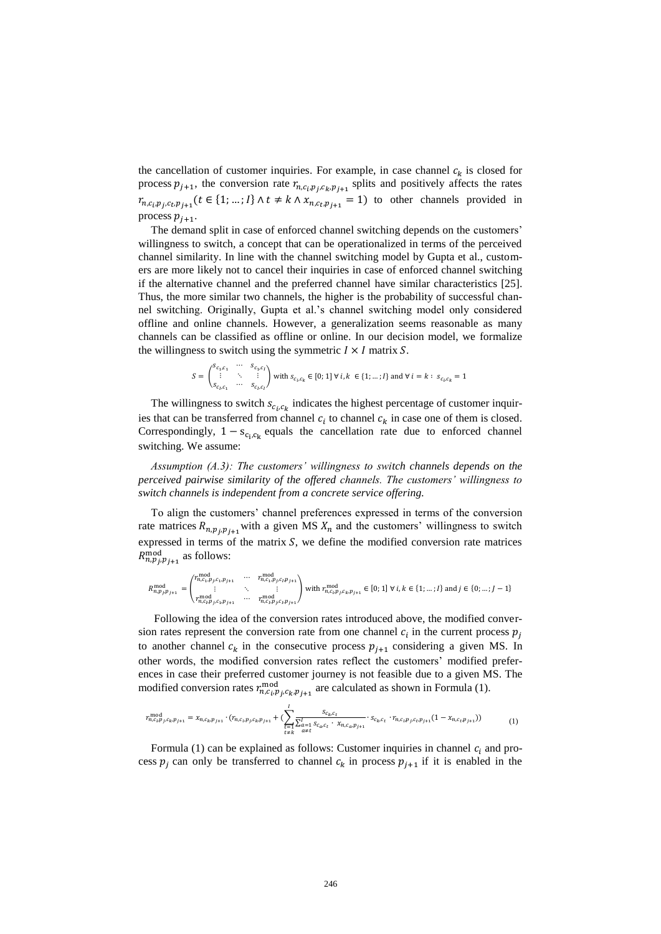the cancellation of customer inquiries. For example, in case channel  $c_k$  is closed for process  $p_{j+1}$ , the conversion rate  $r_{n,c_i,p_j,c_k,p_{j+1}}$  splits and positively affects the rates  $r_{n,c_i,p_j,c_t,p_{j+1}}(t \in \{1; ...; I\} \land t \neq k \land x_{n,c_t,p_{j+1}} = 1)$  to other channels provided in process  $p_{j+1}$ .

The demand split in case of enforced channel switching depends on the customers' willingness to switch, a concept that can be operationalized in terms of the perceived channel similarity. In line with the channel switching model by Gupta et al., customers are more likely not to cancel their inquiries in case of enforced channel switching if the alternative channel and the preferred channel have similar characteristics [25]. Thus, the more similar two channels, the higher is the probability of successful channel switching. Originally, Gupta et al.'s channel switching model only considered offline and online channels. However, a generalization seems reasonable as many channels can be classified as offline or online. In our decision model, we formalize the willingness to switch using the symmetric  $I \times I$  matrix S.

$$
S = \begin{pmatrix} s_{c_1,c_1} & \cdots & s_{c_1,c_l} \\ \vdots & \ddots & \vdots \\ s_{c_l,c_1} & \cdots & s_{c_l,c_l} \end{pmatrix} \text{ with } s_{c_l,c_k} \in [0;1] \ \forall \ i,k \ \in \{1;\ldots;l\} \text{ and } \forall \ i=k: \ s_{c_l,c_k} = 1
$$

The willingness to switch  $s_{c_i,c_k}$  indicates the highest percentage of customer inquiries that can be transferred from channel  $c_i$  to channel  $c_k$  in case one of them is closed. Correspondingly,  $1 - s_{c_i, c_k}$  equals the cancellation rate due to enforced channel switching. We assume:

*Assumption (A.3): The customers' willingness to switch channels depends on the perceived pairwise similarity of the offered channels. The customers' willingness to switch channels is independent from a concrete service offering.*

To align the customers' channel preferences expressed in terms of the conversion rate matrices  $R_{n,p}$ <sub>j</sub>, $p_{j+1}$  with a given MS  $X_n$  and the customers' willingness to switch expressed in terms of the matrix  $S$ , we define the modified conversion rate matrices  $R_{n,p}^{\text{mod}}$  as follows:

$$
R_{n,p_j,p_{j+1}}^{\text{mod}} = \begin{pmatrix} r_{n,c_1,p_j,c_1,p_{j+1}}^{m,od} & \cdots & r_{n,c_1,p_j,c_1,p_{j+1}}^{m,od} \\ \vdots & \ddots & \vdots \\ r_{n,c_j,p_j,c_1,p_{j+1}}^{m,od} & \cdots & r_{n,c_j,p_j,c_j,p_{j+1}}^{m,od} \end{pmatrix} \text{ with } r_{n,c_i,p_j,c_k,p_{j+1}}^{\text{mod}} \in [0;1] \,\forall \, i, k \in \{1, \ldots, l\} \,\text{and}\, j \in \{0, \ldots, j-1\}
$$

Following the idea of the conversion rates introduced above, the modified conversion rates represent the conversion rate from one channel  $c_i$  in the current process  $p_j$ to another channel  $c_k$  in the consecutive process  $p_{i+1}$  considering a given MS. In other words, the modified conversion rates reflect the customers' modified preferences in case their preferred customer journey is not feasible due to a given MS. The modified conversion rates  $r_{n,c_i,p_j,c_k,p_{j+1}}^{\text{mod}}$  are calculated as shown in Formula (1).

$$
r_{n,c_i,p_j,c_k,p_{j+1}}^{\text{mod}} = x_{n,c_k,p_{j+1}} \cdot (r_{n,c_i,p_j,c_k,p_{j+1}} + (\sum_{\substack{t=1\\t\neq k}}^{l} \frac{s_{c_k,c_t}}{\sum_{a=1}^{l} s_{c_a,c_t} \cdot x_{n,c_a,p_{j+1}}} \cdot s_{c_k,c_t} \cdot r_{n,c_i,p_j,c_t,p_{j+1}} (1 - x_{n,c_t,p_{j+1}}))
$$
(1)

Formula (1) can be explained as follows: Customer inquiries in channel  $c_i$  and process  $p_j$  can only be transferred to channel  $c_k$  in process  $p_{j+1}$  if it is enabled in the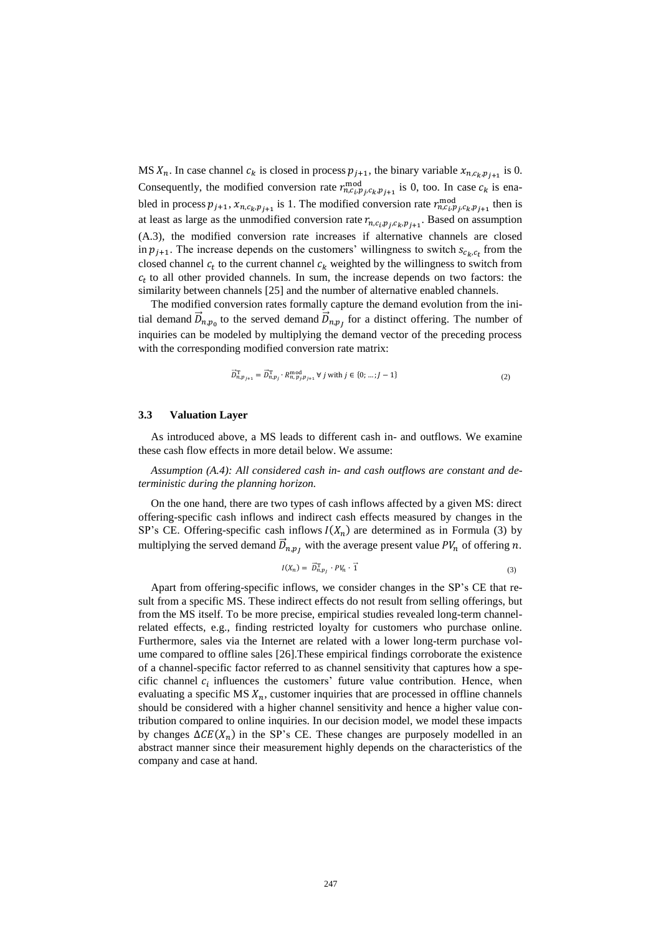MS  $X_n$ . In case channel  $c_k$  is closed in process  $p_{j+1}$ , the binary variable  $x_{n,c_k,p_{j+1}}$  is 0. Consequently, the modified conversion rate  $r_{n,c_i,p_j,c_k,p_{j+1}}^{\text{mod}}$  is 0, too. In case  $c_k$  is enabled in process  $p_{j+1}$ ,  $x_{n,c_k,p_{j+1}}$  is 1. The modified conversion rate  $r_{n,c_i,p_j,c_k,p_{j+1}}^{\text{mod}}$  then is at least as large as the unmodified conversion rate  $r_{n,c_i,p_j,c_k,p_{j+1}}$ . Based on assumption (A.3), the modified conversion rate increases if alternative channels are closed in  $p_{j+1}$ . The increase depends on the customers' willingness to switch  $s_{c_k,c_t}$  from the closed channel  $c_t$  to the current channel  $c_k$  weighted by the willingness to switch from  $c_t$  to all other provided channels. In sum, the increase depends on two factors: the similarity between channels [25] and the number of alternative enabled channels.

The modified conversion rates formally capture the demand evolution from the initial demand  $\vec{D}_{n,p_0}$  to the served demand  $\vec{D}_{n,p_j}$  for a distinct offering. The number of inquiries can be modeled by multiplying the demand vector of the preceding process with the corresponding modified conversion rate matrix:

$$
\vec{D}_{n,p_{j+1}}^{\mathrm{T}} = \vec{D}_{n,p_j}^{\mathrm{T}} \cdot R_{n,p_j,p_{j+1}}^{\mathrm{mod}} \ \forall \ j \text{ with } j \in \{0; \dots; J-1\}
$$
\n(2)

#### **3.3 Valuation Layer**

As introduced above, a MS leads to different cash in- and outflows. We examine these cash flow effects in more detail below. We assume:

*Assumption (A.4): All considered cash in- and cash outflows are constant and deterministic during the planning horizon.*

On the one hand, there are two types of cash inflows affected by a given MS: direct offering-specific cash inflows and indirect cash effects measured by changes in the SP's CE. Offering-specific cash inflows  $I(X_n)$  are determined as in Formula (3) by multiplying the served demand  $\vec{D}_{n,p_j}$  with the average present value  $PV_n$  of offering n.

$$
I(X_n) = \vec{D}_{n,p_1}^{\mathrm{T}} \cdot PV_n \cdot \vec{1}
$$
\n<sup>(3)</sup>

Apart from offering-specific inflows, we consider changes in the SP's CE that result from a specific MS. These indirect effects do not result from selling offerings, but from the MS itself. To be more precise, empirical studies revealed long-term channelrelated effects, e.g., finding restricted loyalty for customers who purchase online. Furthermore, sales via the Internet are related with a lower long-term purchase volume compared to offline sales [26].These empirical findings corroborate the existence of a channel-specific factor referred to as channel sensitivity that captures how a specific channel  $c_i$  influences the customers' future value contribution. Hence, when evaluating a specific MS  $X_n$ , customer inquiries that are processed in offline channels should be considered with a higher channel sensitivity and hence a higher value contribution compared to online inquiries. In our decision model, we model these impacts by changes  $\Delta CE(X_n)$  in the SP's CE. These changes are purposely modelled in an abstract manner since their measurement highly depends on the characteristics of the company and case at hand.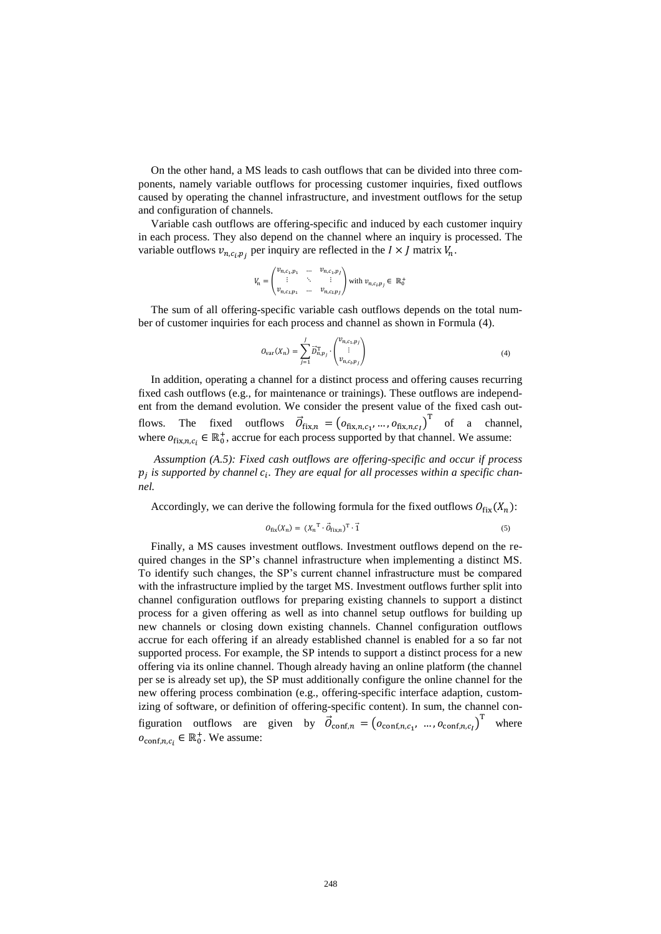On the other hand, a MS leads to cash outflows that can be divided into three components, namely variable outflows for processing customer inquiries, fixed outflows caused by operating the channel infrastructure, and investment outflows for the setup and configuration of channels.

Variable cash outflows are offering-specific and induced by each customer inquiry in each process. They also depend on the channel where an inquiry is processed. The variable outflows  $v_{n,c_i,p_j}$  per inquiry are reflected in the  $I \times J$  matrix  $V_n$ .

$$
V_n=\begin{pmatrix}v_{n,c_1,p_1}&\dots&v_{n,c_1,p_j}\\ \vdots&\ddots&\vdots\\ v_{n,c_l,p_1}&\dots&v_{n,c_l,p_j}\end{pmatrix}\text{ with }v_{n,c_l,p_j}\in\ \mathbb{R}^+_0
$$

The sum of all offering-specific variable cash outflows depends on the total number of customer inquiries for each process and channel as shown in Formula (4).

$$
O_{var}(X_n) = \sum_{j=1}^{J} \vec{D}_{n,p_j}^{\mathrm{T}} \cdot \begin{pmatrix} v_{n,c_1,p_j} \\ \vdots \\ v_{n,c_l,p_j} \end{pmatrix}
$$
 (4)

In addition, operating a channel for a distinct process and offering causes recurring fixed cash outflows (e.g., for maintenance or trainings). These outflows are independent from the demand evolution. We consider the present value of the fixed cash outflows. The fixed outflows  $\vec{O}_{fix,n} = (o_{fix,n,c_1}, ..., o_{fix,n,c_l})^T$  of a channel, where  $o_{fix,n,c_i} \in \mathbb{R}_0^+$ , accrue for each process supported by that channel. We assume:

*Assumption (A.5): Fixed cash outflows are offering-specific and occur if process*   $p_j$  is supported by channel  $c_i$ . They are equal for all processes within a specific chan*nel.*

Accordingly, we can derive the following formula for the fixed outflows  $O_{fix}(X_n)$ :

$$
O_{\text{fix}}(X_n) = (X_n^{\text{T}} \cdot \vec{O}_{\text{fix},n})^{\text{T}} \cdot \vec{1}
$$
 (5)

Finally, a MS causes investment outflows. Investment outflows depend on the required changes in the SP's channel infrastructure when implementing a distinct MS. To identify such changes, the SP's current channel infrastructure must be compared with the infrastructure implied by the target MS. Investment outflows further split into channel configuration outflows for preparing existing channels to support a distinct process for a given offering as well as into channel setup outflows for building up new channels or closing down existing channels. Channel configuration outflows accrue for each offering if an already established channel is enabled for a so far not supported process. For example, the SP intends to support a distinct process for a new offering via its online channel. Though already having an online platform (the channel per se is already set up), the SP must additionally configure the online channel for the new offering process combination (e.g., offering-specific interface adaption, customizing of software, or definition of offering-specific content). In sum, the channel configuration outflows are given by  $\vec{O}_{\text{conf},n} = (o_{\text{conf},n,c_1}, ..., o_{\text{conf},n,c_1})^T$  where  $o_{\text{conf},n,c_i} \in \mathbb{R}_0^+$ . We assume: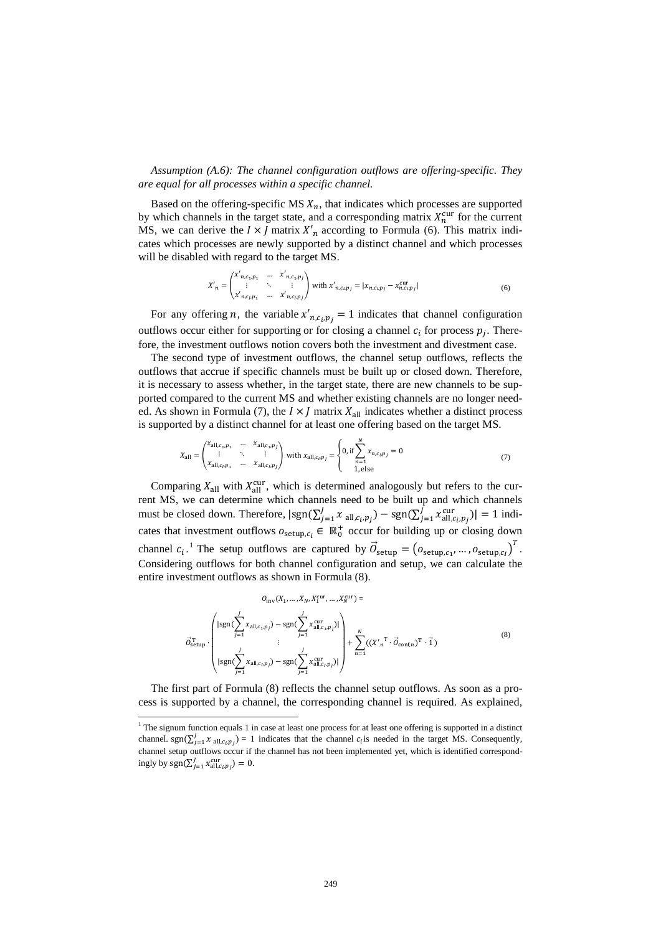*Assumption (A.6): The channel configuration outflows are offering-specific. They are equal for all processes within a specific channel.*

Based on the offering-specific MS  $X_n$ , that indicates which processes are supported by which channels in the target state, and a corresponding matrix  $X_n^{\text{cur}}$  for the current MS, we can derive the  $I \times J$  matrix  $X'_n$  according to Formula (6). This matrix indicates which processes are newly supported by a distinct channel and which processes will be disabled with regard to the target MS.

$$
X'_{n} = \begin{pmatrix} x'_{n,c_{1},p_{1}} & \dots & x'_{n,c_{1},p_{J}} \\ \vdots & \ddots & \vdots \\ x'_{n,c_{l},p_{1}} & \dots & x'_{n,c_{l},p_{J}} \end{pmatrix} \text{ with } x'_{n,c_{l},p_{J}} = |x_{n,c_{l},p_{J}} - x^{cur}_{n,c_{l},p_{J}}|
$$
(6)

For any offering *n*, the variable  $x'_{n,c_i,p_j} = 1$  indicates that channel configuration outflows occur either for supporting or for closing a channel  $c_i$  for process  $p_j$ . Therefore, the investment outflows notion covers both the investment and divestment case.

The second type of investment outflows, the channel setup outflows, reflects the outflows that accrue if specific channels must be built up or closed down. Therefore, it is necessary to assess whether, in the target state, there are new channels to be supported compared to the current MS and whether existing channels are no longer needed. As shown in Formula (7), the  $I \times J$  matrix  $X_{all}$  indicates whether a distinct process is supported by a distinct channel for at least one offering based on the target MS.

$$
X_{\text{all}} = \begin{pmatrix} x_{\text{all},c_1,p_1} & \dots & x_{\text{all},c_1,p_f} \\ \vdots & \ddots & \vdots \\ x_{\text{all},c_1,p_1} & \dots & x_{\text{all},c_t,p_f} \end{pmatrix} \text{ with } x_{\text{all},c_t,p_f} = \begin{cases} 0, \text{ if } \sum_{n=1}^{N} x_{n,c_t,p_f} = 0 \\ 1, \text{ else} \end{cases} \tag{7}
$$

Comparing  $X_{all}$  with  $X_{all}^{cur}$ , which is determined analogously but refers to the current MS, we can determine which channels need to be built up and which channels must be closed down. Therefore,  $|\text{sgn}(\sum_{j=1}^{J} x_{\text{all},c_i,p_j}) - \text{sgn}(\sum_{j=1}^{J} x_{\text{all},c_i,p_j})| = 1$  indicates that investment outflows  $o_{\text{setup}, c_i} \in \mathbb{R}_0^+$  occur for building up or closing down channel  $c_i$ .<sup>1</sup> The setup outflows are captured by  $\vec{O}_{\text{setup}} = (o_{\text{setup},c_1}, ..., o_{\text{setup},c_l})^T$ . Considering outflows for both channel configuration and setup, we can calculate the entire investment outflows as shown in Formula (8).

$$
O_{\text{inv}}(X_1, ..., X_N, X_1^{\text{cur}}) =
$$
\n
$$
\vec{O}_{\text{setup}} \cdot \left( \frac{\left| \text{sgn}(\sum_{j=1}^J x_{\text{all},c_1,p_j}) - \text{sgn}(\sum_{j=1}^J x_{\text{all},c_1,p_j}^{\text{cur}}) \right|}{\vdots} \right) + \sum_{n=1}^N ((X'_n^T \cdot \vec{O}_{\text{conf},n})^T \cdot \vec{1})
$$
\n(8)

The first part of Formula (8) reflects the channel setup outflows. As soon as a process is supported by a channel, the corresponding channel is required. As explained,

 $\overline{a}$ 

<sup>&</sup>lt;sup>1</sup> The signum function equals 1 in case at least one process for at least one offering is supported in a distinct channel. sgn( $\sum_{j=1}^{J} \chi_{\text{all},c_{i},p_{j}}$ ) = 1 indicates that the channel  $c_{i}$  is needed in the target MS. Consequently, channel setup outflows occur if the channel has not been implemented yet, which is identified correspondingly by  $sgn(\sum_{j=1}^{J} x_{\text{all},c_i,p_j}^{\text{cur}}) = 0.$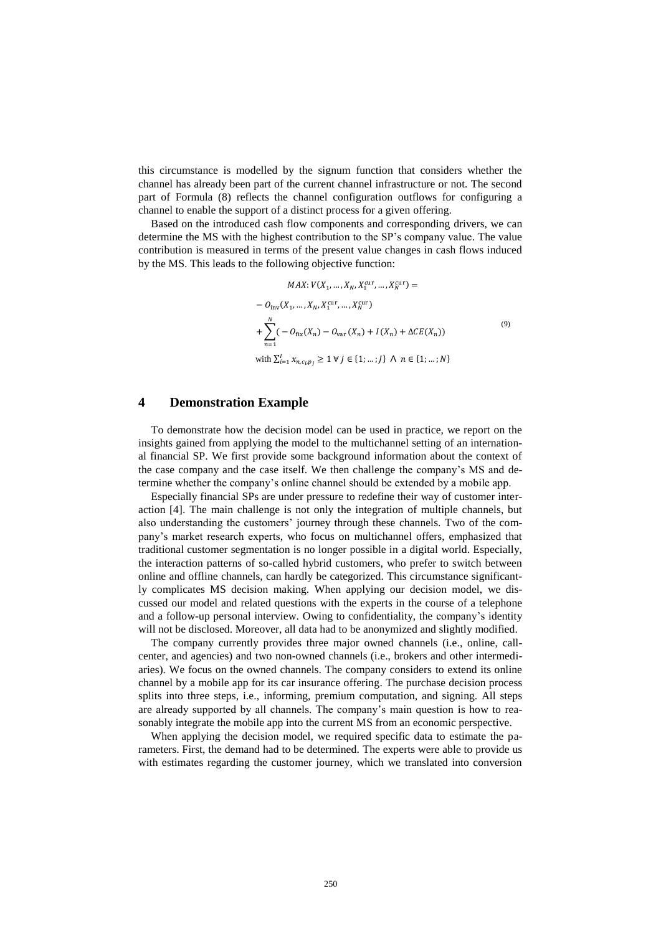this circumstance is modelled by the signum function that considers whether the channel has already been part of the current channel infrastructure or not. The second part of Formula (8) reflects the channel configuration outflows for configuring a channel to enable the support of a distinct process for a given offering.

Based on the introduced cash flow components and corresponding drivers, we can determine the MS with the highest contribution to the SP's company value. The value contribution is measured in terms of the present value changes in cash flows induced by the MS. This leads to the following objective function:

$$
MAX: V(X_1, ..., X_N, X_1^{\text{cur}}, ..., X_N^{\text{cur}}) =
$$
  
\n
$$
- O_{\text{inv}}(X_1, ..., X_N, X_1^{\text{cur}}, ..., X_N^{\text{cur}})
$$
  
\n
$$
+ \sum_{n=1}^N (- O_{\text{fix}}(X_n) - O_{\text{var}}(X_n) + I(X_n) + \Delta CE(X_n))
$$
  
\nwith  $\sum_{i=1}^I x_{n,c_i,p_j} \ge 1 \forall j \in \{1; ...; J\} \land n \in \{1; ...; N\}$  (9)

## **4 Demonstration Example**

To demonstrate how the decision model can be used in practice, we report on the insights gained from applying the model to the multichannel setting of an international financial SP. We first provide some background information about the context of the case company and the case itself. We then challenge the company's MS and determine whether the company's online channel should be extended by a mobile app.

Especially financial SPs are under pressure to redefine their way of customer interaction [4]. The main challenge is not only the integration of multiple channels, but also understanding the customers' journey through these channels. Two of the company's market research experts, who focus on multichannel offers, emphasized that traditional customer segmentation is no longer possible in a digital world. Especially, the interaction patterns of so-called hybrid customers, who prefer to switch between online and offline channels, can hardly be categorized. This circumstance significantly complicates MS decision making. When applying our decision model, we discussed our model and related questions with the experts in the course of a telephone and a follow-up personal interview. Owing to confidentiality, the company's identity will not be disclosed. Moreover, all data had to be anonymized and slightly modified.

The company currently provides three major owned channels (i.e., online, callcenter, and agencies) and two non-owned channels (i.e., brokers and other intermediaries). We focus on the owned channels. The company considers to extend its online channel by a mobile app for its car insurance offering. The purchase decision process splits into three steps, i.e., informing, premium computation, and signing. All steps are already supported by all channels. The company's main question is how to reasonably integrate the mobile app into the current MS from an economic perspective.

When applying the decision model, we required specific data to estimate the parameters. First, the demand had to be determined. The experts were able to provide us with estimates regarding the customer journey, which we translated into conversion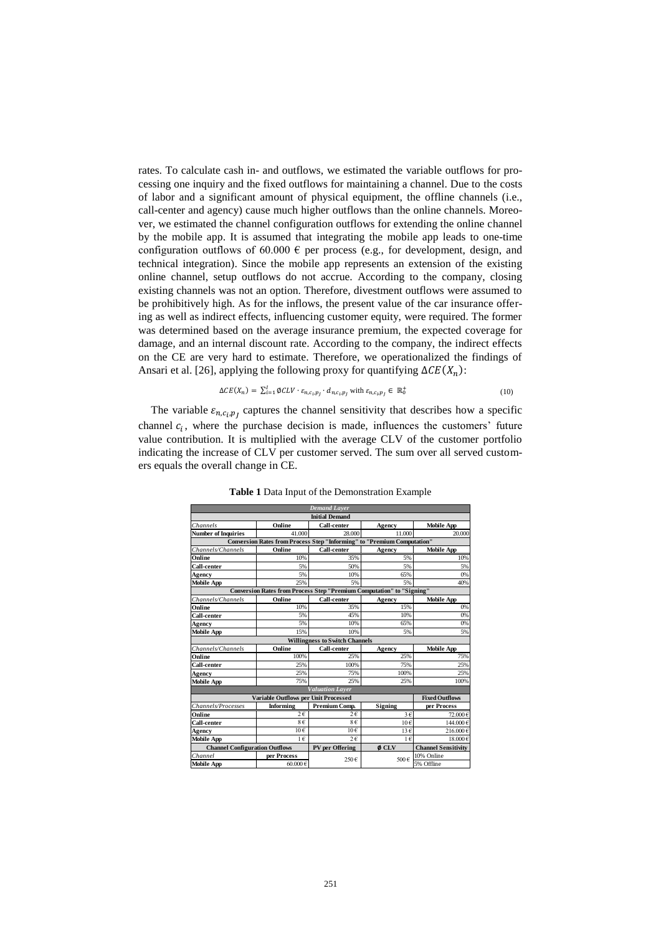rates. To calculate cash in- and outflows, we estimated the variable outflows for processing one inquiry and the fixed outflows for maintaining a channel. Due to the costs of labor and a significant amount of physical equipment, the offline channels (i.e., call-center and agency) cause much higher outflows than the online channels. Moreover, we estimated the channel configuration outflows for extending the online channel by the mobile app. It is assumed that integrating the mobile app leads to one-time configuration outflows of 60.000  $\epsilon$  per process (e.g., for development, design, and technical integration). Since the mobile app represents an extension of the existing online channel, setup outflows do not accrue. According to the company, closing existing channels was not an option. Therefore, divestment outflows were assumed to be prohibitively high. As for the inflows, the present value of the car insurance offering as well as indirect effects, influencing customer equity, were required. The former was determined based on the average insurance premium, the expected coverage for damage, and an internal discount rate. According to the company, the indirect effects on the CE are very hard to estimate. Therefore, we operationalized the findings of Ansari et al. [26], applying the following proxy for quantifying  $\Delta CE(X_n)$ :

$$
\Delta CE(X_n) = \sum_{i=1}^{I} \emptyset CLV \cdot \varepsilon_{n,c_i,p_i} \cdot d_{n,c_i,p_i} \text{ with } \varepsilon_{n,c_i,p_i} \in \mathbb{R}_0^+ \tag{10}
$$

The variable  $\varepsilon_{n,c_i,p_j}$  captures the channel sensitivity that describes how a specific channel  $c_i$ , where the purchase decision is made, influences the customers' future value contribution. It is multiplied with the average CLV of the customer portfolio indicating the increase of CLV per customer served. The sum over all served customers equals the overall change in CE.

| <b>Demand Layer</b><br><b>Initial Demand</b>                                   |                  |                        |                 |                            |  |  |
|--------------------------------------------------------------------------------|------------------|------------------------|-----------------|----------------------------|--|--|
|                                                                                |                  |                        |                 |                            |  |  |
| <b>Number of Inquiries</b>                                                     | 41.000           | 28,000                 | 11.000          | 20,000                     |  |  |
| <b>Conversion Rates from Process Step "Informing" to "Premium Computation"</b> |                  |                        |                 |                            |  |  |
| Channels/Channels                                                              | Online           | <b>Call-center</b>     | Agency          | <b>Mobile App</b>          |  |  |
| Online                                                                         | 10%              | 35%                    | 5%              | 10%                        |  |  |
| Call-center                                                                    | 5%               | 50%                    | 5%              | 5%                         |  |  |
| Agency                                                                         | 5%               | 10%                    | 65%             | 0%                         |  |  |
| <b>Mobile App</b>                                                              | 25%              | 5%                     | 5%              | 40%                        |  |  |
| <b>Conversion Rates from Process Step "Premium Computation" to "Signing"</b>   |                  |                        |                 |                            |  |  |
| Channels/Channels                                                              | Online           | Call-center            | Agency          | <b>Mobile App</b>          |  |  |
| Online                                                                         | 10%              | 35%                    | 15%             | 0%                         |  |  |
| Call-center                                                                    | 5%               | 45%                    | 10%             | 0%                         |  |  |
| Agency                                                                         | 5%               | 10%                    | 65%             | 0%                         |  |  |
| <b>Mobile App</b>                                                              | 15%              | 10%                    | 5%              | 5%                         |  |  |
| <b>Willingness to Switch Channels</b>                                          |                  |                        |                 |                            |  |  |
| Channels/Channels                                                              | Online           | Call-center            | Agency          | <b>Mobile App</b>          |  |  |
| Online                                                                         | 100%             | 25%                    | 25%             | 75%                        |  |  |
| Call-center                                                                    | 25%              | 100%                   | 75%             | 25%                        |  |  |
| Agency                                                                         | 25%              | 75%                    | 100%            | 25%                        |  |  |
| <b>Mobile App</b>                                                              | 75%              | 25%                    | 25%             | 100%                       |  |  |
| <b>Valuation Layer</b>                                                         |                  |                        |                 |                            |  |  |
| Variable Outflows per Unit Processed                                           |                  |                        |                 | <b>Fixed Outflows</b>      |  |  |
| Channels/Processes                                                             | <b>Informing</b> | Premium Comp.          | Signing         | per Process                |  |  |
| Online                                                                         | $2\epsilon$      | $2\epsilon$            | $3 \in$         | 72.000€                    |  |  |
| Call-center                                                                    | 8€               | 8€                     | 10 <sub>6</sub> | 144.000€                   |  |  |
| Agency                                                                         | $10 \in$         | 10€                    | $13 \in$        | 216.000€                   |  |  |
| <b>Mobile App</b>                                                              | $1 \in$          | $2 \in$                | $1 \in$         | 18.000€                    |  |  |
| <b>Channel Configuration Outflows</b>                                          |                  | <b>PV</b> per Offering | $\phi$ CLV      | <b>Channel Sensitivity</b> |  |  |
| Channel                                                                        | per Process      |                        |                 | 10% Online                 |  |  |
| <b>Mobile App</b>                                                              | 60,000€          | 500€<br>250€           |                 | 5% Offline                 |  |  |

**Table 1** Data Input of the Demonstration Example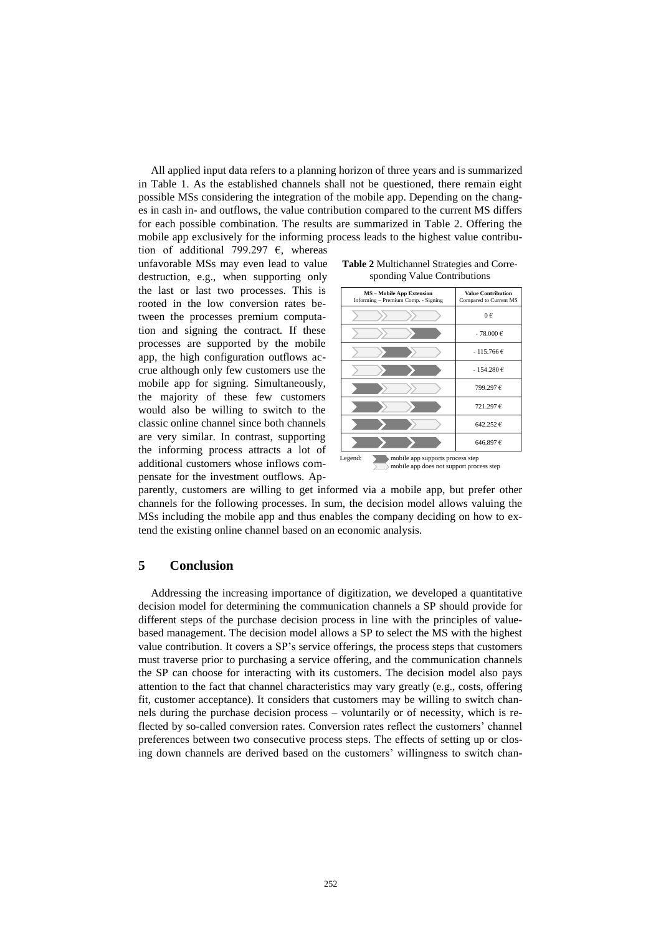All applied input data refers to a planning horizon of three years and is summarized in Table 1. As the established channels shall not be questioned, there remain eight possible MSs considering the integration of the mobile app. Depending on the changes in cash in- and outflows, the value contribution compared to the current MS differs for each possible combination. The results are summarized in Table 2. Offering the mobile app exclusively for the informing process leads to the highest value contribu-

tion of additional 799.297  $\epsilon$ , whereas unfavorable MSs may even lead to value destruction, e.g., when supporting only the last or last two processes. This is rooted in the low conversion rates between the processes premium computation and signing the contract. If these processes are supported by the mobile app, the high configuration outflows accrue although only few customers use the mobile app for signing. Simultaneously, the majority of these few customers would also be willing to switch to the classic online channel since both channels are very similar. In contrast, supporting the informing process attracts a lot of additional customers whose inflows compensate for the investment outflows. Ap-



| <b>MS</b> – Mobile App Extension<br>Informing - Premium Comp. - Signing |  |  | <b>Value Contribution</b><br>Compared to Current MS |  |
|-------------------------------------------------------------------------|--|--|-----------------------------------------------------|--|
|                                                                         |  |  | 0€                                                  |  |
|                                                                         |  |  | - 78.000 €                                          |  |
|                                                                         |  |  | $-115.766 \in$                                      |  |
|                                                                         |  |  | $-154.280 \in$                                      |  |
|                                                                         |  |  | 799.297€                                            |  |
|                                                                         |  |  | 721.297€                                            |  |
|                                                                         |  |  | 642.252€                                            |  |
|                                                                         |  |  | 646.897€                                            |  |
| mobile app supports process step<br>.egend:                             |  |  |                                                     |  |

Legend:<br>
mobile app supports process step<br>
mobile app does not support process step

parently, customers are willing to get informed via a mobile app, but prefer other channels for the following processes. In sum, the decision model allows valuing the MSs including the mobile app and thus enables the company deciding on how to extend the existing online channel based on an economic analysis.

# **5 Conclusion**

Addressing the increasing importance of digitization, we developed a quantitative decision model for determining the communication channels a SP should provide for different steps of the purchase decision process in line with the principles of valuebased management. The decision model allows a SP to select the MS with the highest value contribution. It covers a SP's service offerings, the process steps that customers must traverse prior to purchasing a service offering, and the communication channels the SP can choose for interacting with its customers. The decision model also pays attention to the fact that channel characteristics may vary greatly (e.g., costs, offering fit, customer acceptance). It considers that customers may be willing to switch channels during the purchase decision process – voluntarily or of necessity, which is reflected by so-called conversion rates. Conversion rates reflect the customers' channel preferences between two consecutive process steps. The effects of setting up or closing down channels are derived based on the customers' willingness to switch chan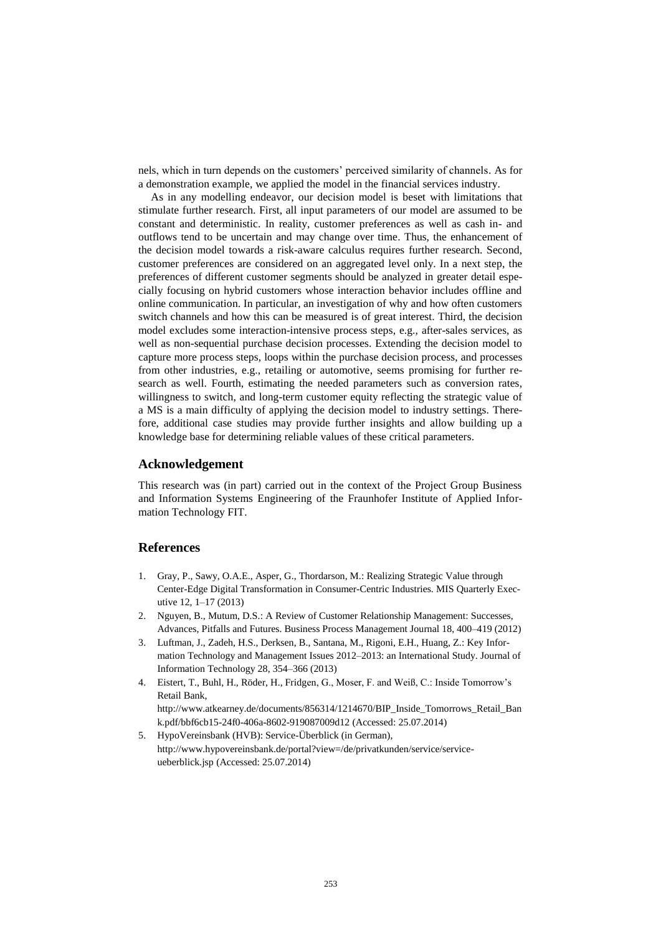nels, which in turn depends on the customers' perceived similarity of channels. As for a demonstration example, we applied the model in the financial services industry.

As in any modelling endeavor, our decision model is beset with limitations that stimulate further research. First, all input parameters of our model are assumed to be constant and deterministic. In reality, customer preferences as well as cash in- and outflows tend to be uncertain and may change over time. Thus, the enhancement of the decision model towards a risk-aware calculus requires further research. Second, customer preferences are considered on an aggregated level only. In a next step, the preferences of different customer segments should be analyzed in greater detail especially focusing on hybrid customers whose interaction behavior includes offline and online communication. In particular, an investigation of why and how often customers switch channels and how this can be measured is of great interest. Third, the decision model excludes some interaction-intensive process steps, e.g., after-sales services, as well as non-sequential purchase decision processes. Extending the decision model to capture more process steps, loops within the purchase decision process, and processes from other industries, e.g., retailing or automotive, seems promising for further research as well. Fourth, estimating the needed parameters such as conversion rates, willingness to switch, and long-term customer equity reflecting the strategic value of a MS is a main difficulty of applying the decision model to industry settings. Therefore, additional case studies may provide further insights and allow building up a knowledge base for determining reliable values of these critical parameters.

#### **Acknowledgement**

This research was (in part) carried out in the context of the Project Group Business and Information Systems Engineering of the Fraunhofer Institute of Applied Information Technology FIT.

#### **References**

- 1. Gray, P., Sawy, O.A.E., Asper, G., Thordarson, M.: Realizing Strategic Value through Center-Edge Digital Transformation in Consumer-Centric Industries. MIS Quarterly Executive 12, 1–17 (2013)
- 2. Nguyen, B., Mutum, D.S.: A Review of Customer Relationship Management: Successes, Advances, Pitfalls and Futures. Business Process Management Journal 18, 400–419 (2012)
- 3. Luftman, J., Zadeh, H.S., Derksen, B., Santana, M., Rigoni, E.H., Huang, Z.: Key Information Technology and Management Issues 2012–2013: an International Study. Journal of Information Technology 28, 354–366 (2013)
- 4. Eistert, T., Buhl, H., Röder, H., Fridgen, G., Moser, F. and Weiß, C.: Inside Tomorrow's Retail Bank,

http://www.atkearney.de/documents/856314/1214670/BIP\_Inside\_Tomorrows\_Retail\_Ban k.pdf/bbf6cb15-24f0-406a-8602-919087009d12 (Accessed: 25.07.2014)

5. HypoVereinsbank (HVB): Service-Überblick (in German), http://www.hypovereinsbank.de/portal?view=/de/privatkunden/service/serviceueberblick.jsp (Accessed: 25.07.2014)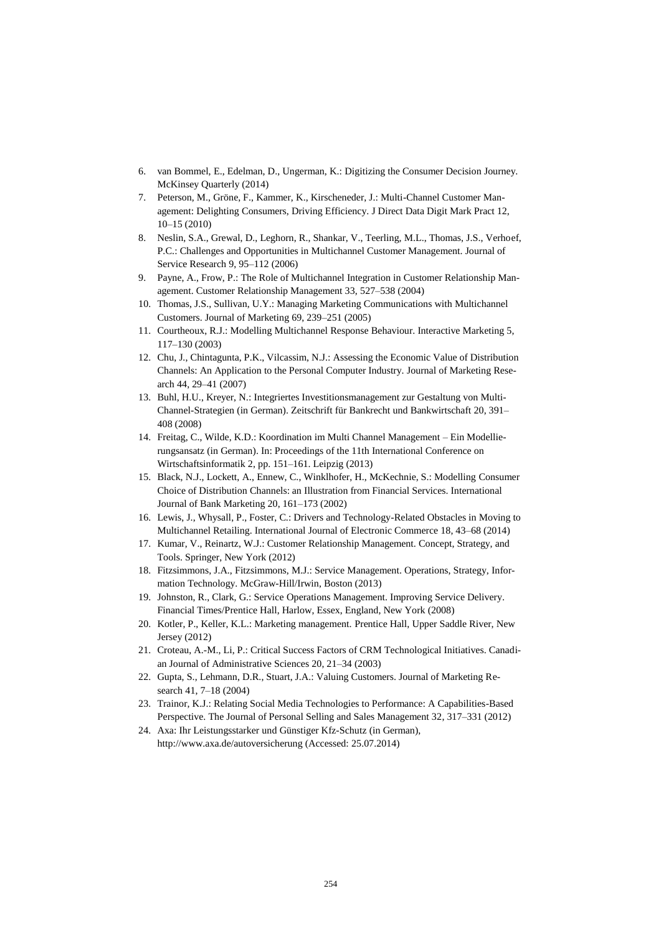- 6. van Bommel, E., Edelman, D., Ungerman, K.: Digitizing the Consumer Decision Journey. McKinsey Quarterly (2014)
- 7. Peterson, M., Gröne, F., Kammer, K., Kirscheneder, J.: Multi-Channel Customer Management: Delighting Consumers, Driving Efficiency. J Direct Data Digit Mark Pract 12, 10–15 (2010)
- 8. Neslin, S.A., Grewal, D., Leghorn, R., Shankar, V., Teerling, M.L., Thomas, J.S., Verhoef, P.C.: Challenges and Opportunities in Multichannel Customer Management. Journal of Service Research 9, 95–112 (2006)
- 9. Payne, A., Frow, P.: The Role of Multichannel Integration in Customer Relationship Management. Customer Relationship Management 33, 527–538 (2004)
- 10. Thomas, J.S., Sullivan, U.Y.: Managing Marketing Communications with Multichannel Customers. Journal of Marketing 69, 239–251 (2005)
- 11. Courtheoux, R.J.: Modelling Multichannel Response Behaviour. Interactive Marketing 5, 117–130 (2003)
- 12. Chu, J., Chintagunta, P.K., Vilcassim, N.J.: Assessing the Economic Value of Distribution Channels: An Application to the Personal Computer Industry. Journal of Marketing Research 44, 29–41 (2007)
- 13. Buhl, H.U., Kreyer, N.: Integriertes Investitionsmanagement zur Gestaltung von Multi-Channel-Strategien (in German). Zeitschrift für Bankrecht und Bankwirtschaft 20, 391– 408 (2008)
- 14. Freitag, C., Wilde, K.D.: Koordination im Multi Channel Management Ein Modellierungsansatz (in German). In: Proceedings of the 11th International Conference on Wirtschaftsinformatik 2, pp. 151–161. Leipzig (2013)
- 15. Black, N.J., Lockett, A., Ennew, C., Winklhofer, H., McKechnie, S.: Modelling Consumer Choice of Distribution Channels: an Illustration from Financial Services. International Journal of Bank Marketing 20, 161–173 (2002)
- 16. Lewis, J., Whysall, P., Foster, C.: Drivers and Technology-Related Obstacles in Moving to Multichannel Retailing. International Journal of Electronic Commerce 18, 43–68 (2014)
- 17. Kumar, V., Reinartz, W.J.: Customer Relationship Management. Concept, Strategy, and Tools. Springer, New York (2012)
- 18. Fitzsimmons, J.A., Fitzsimmons, M.J.: Service Management. Operations, Strategy, Information Technology. McGraw-Hill/Irwin, Boston (2013)
- 19. Johnston, R., Clark, G.: Service Operations Management. Improving Service Delivery. Financial Times/Prentice Hall, Harlow, Essex, England, New York (2008)
- 20. Kotler, P., Keller, K.L.: Marketing management. Prentice Hall, Upper Saddle River, New Jersey (2012)
- 21. Croteau, A.-M., Li, P.: Critical Success Factors of CRM Technological Initiatives. Canadian Journal of Administrative Sciences 20, 21–34 (2003)
- 22. Gupta, S., Lehmann, D.R., Stuart, J.A.: Valuing Customers. Journal of Marketing Research 41, 7–18 (2004)
- 23. Trainor, K.J.: Relating Social Media Technologies to Performance: A Capabilities-Based Perspective. The Journal of Personal Selling and Sales Management 32, 317–331 (2012)
- 24. Axa: Ihr Leistungsstarker und Günstiger Kfz-Schutz (in German), http://www.axa.de/autoversicherung (Accessed: 25.07.2014)